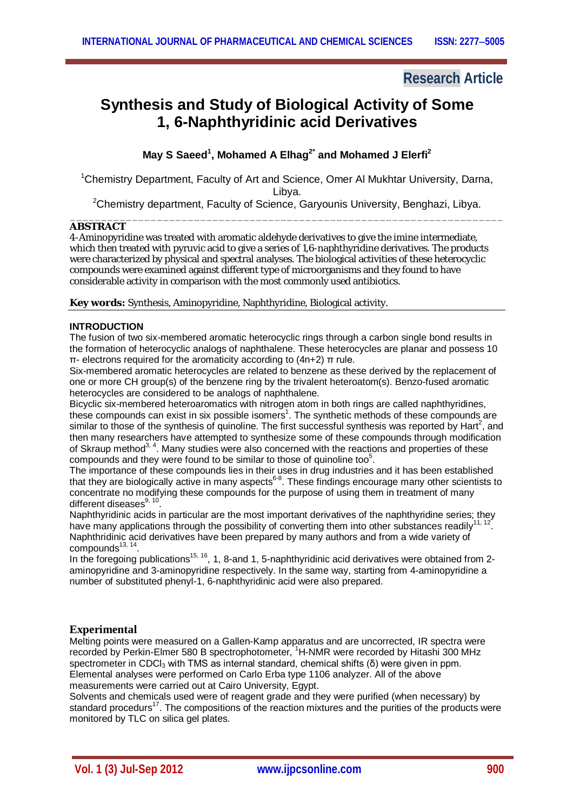## **Research Article**

# **Synthesis and Study of Biological Activity of Some 1, 6-Naphthyridinic acid Derivatives**

### **May S Saeed<sup>1</sup> , Mohamed A Elhag2\* and Mohamed J Elerfi<sup>2</sup>**

<sup>1</sup>Chemistry Department, Faculty of Art and Science, Omer Al Mukhtar University, Darna, Libya.

<sup>2</sup>Chemistry department, Faculty of Science, Garyounis University, Benghazi, Libya.

#### \_\_\_\_\_\_\_\_\_\_\_\_\_\_\_\_\_\_\_\_\_\_\_\_\_\_\_\_\_\_\_\_\_\_\_\_\_\_\_\_\_\_\_\_\_\_\_\_\_\_\_\_\_\_\_\_\_\_\_\_\_\_\_\_\_\_\_\_\_\_ **ABSTRACT**

4-Aminopyridine was treated with aromatic aldehyde derivatives to give the imine intermediate, which then treated with pyruvic acid to give a series of 1,6-naphthyridine derivatives. The products were characterized by physical and spectral analyses. The biological activities of these heterocyclic compounds were examined against different type of microorganisms and they found to have considerable activity in comparison with the most commonly used antibiotics.

**Key words:** Synthesis, Aminopyridine, Naphthyridine, Biological activity.

#### **INTRODUCTION**

The fusion of two six-membered aromatic heterocyclic rings through a carbon single bond results in the formation of heterocyclic analogs of naphthalene. These heterocycles are planar and possess 10 π- electrons required for the aromaticity according to (4n+2) π rule.

Six-membered aromatic heterocycles are related to benzene as these derived by the replacement of one or more CH group(s) of the benzene ring by the trivalent heteroatom(s). Benzo-fused aromatic heterocycles are considered to be analogs of naphthalene.

Bicyclic six-membered heteroaromatics with nitrogen atom in both rings are called naphthyridines, these compounds can exist in six possible isomers<sup>1</sup>. The synthetic methods of these compounds are similar to those of the synthesis of quinoline. The first successful synthesis was reported by Hart<sup>2</sup>, and then many researchers have attempted to synthesize some of these compounds through modification of Skraup method<sup>3, 4</sup>. Many studies were also concerned with the reactions and properties of these compounds and they were found to be similar to those of quinoline too $5$ .

The importance of these compounds lies in their uses in drug industries and it has been established that they are biologically active in many aspects<sup>6-8</sup>. These findings encourage many other scientists to concentrate no modifying these compounds for the purpose of using them in treatment of many different diseases<sup>9, 10</sup>.

Naphthyridinic acids in particular are the most important derivatives of the naphthyridine series; they have many applications through the possibility of converting them into other substances readily<sup>1</sup> . Naphthridinic acid derivatives have been prepared by many authors and from a wide variety of compounds<sup>13, 14</sup>.

In the foregoing publications<sup>15, 16</sup>, 1, 8-and 1, 5-naphthyridinic acid derivatives were obtained from 2aminopyridine and 3-aminopyridine respectively. In the same way, starting from 4-aminopyridine a number of substituted phenyl-1, 6-naphthyridinic acid were also prepared.

### **Experimental**

Melting points were measured on a Gallen-Kamp apparatus and are uncorrected, IR spectra were recorded by Perkin-Elmer 580 B spectrophotometer, <sup>1</sup>H-NMR were recorded by Hitashi 300 MHz spectrometer in CDCl<sub>3</sub> with TMS as internal standard, chemical shifts ( $\delta$ ) were given in ppm. Elemental analyses were performed on Carlo Erba type 1106 analyzer. All of the above measurements were carried out at Cairo University, Egypt.

Solvents and chemicals used were of reagent grade and they were purified (when necessary) by standard procedurs<sup>17</sup>. The compositions of the reaction mixtures and the purities of the products were monitored by TLC on silica gel plates.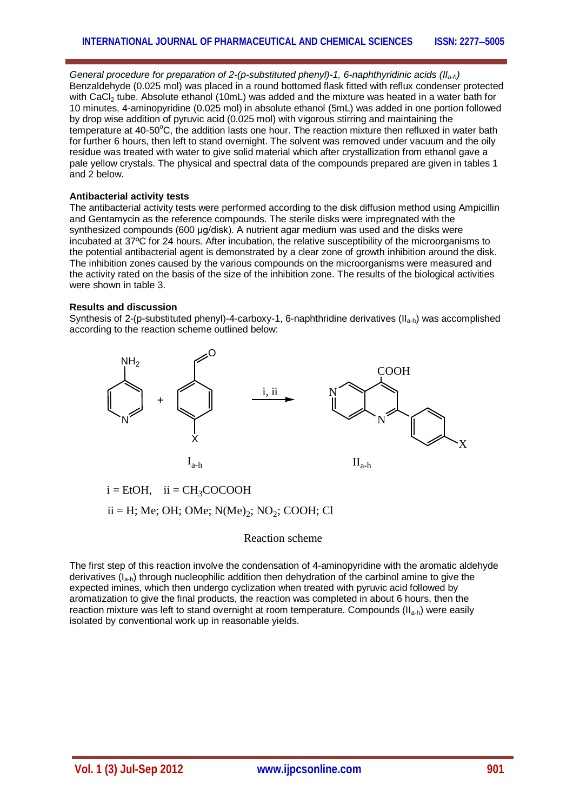*General procedure for preparation of 2-(p-substituted phenyl)-1, 6-naphthyridinic acids (IIa-h)* Benzaldehyde (0.025 mol) was placed in a round bottomed flask fitted with reflux condenser protected with CaCl<sub>2</sub> tube. Absolute ethanol (10mL) was added and the mixture was heated in a water bath for 10 minutes, 4-aminopyridine (0.025 mol) in absolute ethanol (5mL) was added in one portion followed by drop wise addition of pyruvic acid (0.025 mol) with vigorous stirring and maintaining the temperature at  $40-50^{\circ}$ C, the addition lasts one hour. The reaction mixture then refluxed in water bath for further 6 hours, then left to stand overnight. The solvent was removed under vacuum and the oily residue was treated with water to give solid material which after crystallization from ethanol gave a pale yellow crystals. The physical and spectral data of the compounds prepared are given in tables 1 and 2 below.

#### **Antibacterial activity tests**

The antibacterial activity tests were performed according to the disk diffusion method using Ampicillin and Gentamycin as the reference compounds. The sterile disks were impregnated with the synthesized compounds (600 μg/disk). A nutrient agar medium was used and the disks were incubated at 37ºC for 24 hours. After incubation, the relative susceptibility of the microorganisms to the potential antibacterial agent is demonstrated by a clear zone of growth inhibition around the disk. The inhibition zones caused by the various compounds on the microorganisms were measured and the activity rated on the basis of the size of the inhibition zone. The results of the biological activities were shown in table 3.

#### **Results and discussion**

Synthesis of 2-(p-substituted phenyl)-4-carboxy-1, 6-naphthridine derivatives (II<sub>a-h</sub>) was accomplished according to the reaction scheme outlined below:



 $i = EtOH$ ,  $ii = CH<sub>3</sub>COCOOH$ 

 $ii = H$ ; Me; OH; OMe;  $N(Me)_2$ ;  $NO_2$ ; COOH; Cl

#### Reaction scheme

The first step of this reaction involve the condensation of 4-aminopyridine with the aromatic aldehyde derivatives  $(I_{a-h})$  through nucleophilic addition then dehydration of the carbinol amine to give the expected imines, which then undergo cyclization when treated with pyruvic acid followed by aromatization to give the final products, the reaction was completed in about 6 hours, then the reaction mixture was left to stand overnight at room temperature. Compounds  $(II_{a-h})$  were easily isolated by conventional work up in reasonable yields.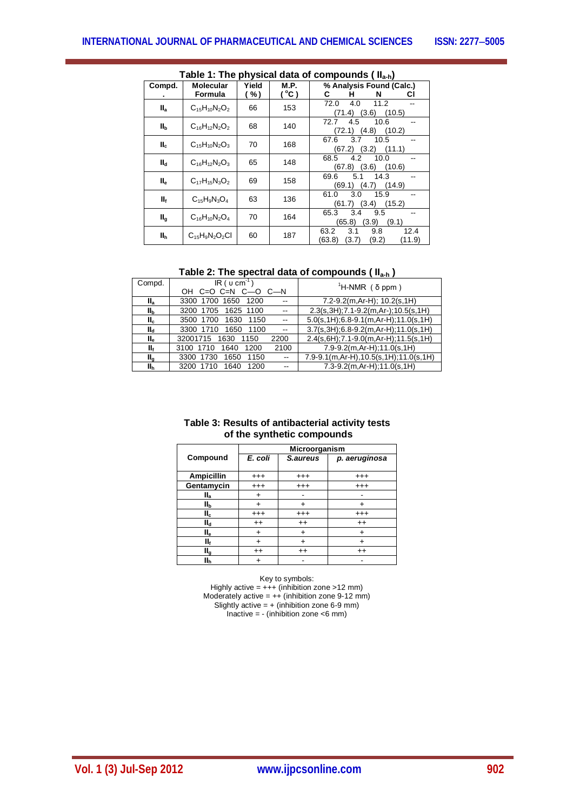| Table 1: The physical data of compounds ( Il <sub>a-h</sub> ) |                             |              |                              |                                                                  |  |  |  |
|---------------------------------------------------------------|-----------------------------|--------------|------------------------------|------------------------------------------------------------------|--|--|--|
| Compd.                                                        | <b>Molecular</b><br>Formula | Yield<br>(%) | <b>M.P.</b><br>$^{\circ}$ C) | % Analysis Found (Calc.)<br>н<br>С<br>N<br>СI                    |  |  |  |
| II <sub>a</sub>                                               | $C_{15}H_{10}N_2O_2$        | 66           | 153                          | 72.0<br>4.0<br>11.2<br>(3.6)<br>(10.5)<br>(71.4)                 |  |  |  |
| II <sub>b</sub>                                               | $C_{16}H_{12}N_2O_2$        | 68           | 140                          | 72.7<br>4.5<br>10.6<br>(10.2)<br>(4.8)<br>(72.1)                 |  |  |  |
| $II_c$                                                        | $C_{15}H_{10}N_2O_3$        | 70           | 168                          | 3.7<br>67.6<br>10.5<br>(3.2)<br>(11.1)<br>(67.2)                 |  |  |  |
| $II_d$                                                        | $C_{16}H_{12}N_2O_3$        | 65           | 148                          | 4.2<br>68.5<br>10.0<br>(10.6)<br>(67.8)<br>(3.6)                 |  |  |  |
| $II_e$                                                        | $C_{17}H_{15}N_3O_2$        | 69           | 158                          | 5.1<br>69.6<br>14.3<br>(69.1)<br>(14.9)<br>(4.7)                 |  |  |  |
| II <sub>f</sub>                                               | $C_{15}H_9N_3O_4$           | 63           | 136                          | 61.0<br>3.0<br>15.9<br>(61.7)<br>(3.4)<br>(15.2)                 |  |  |  |
| II <sub>g</sub>                                               | $C_{16}H_{10}N_2O_4$        | 70           | 164                          | 3.4<br>65.3<br>9.5<br>(3.9)<br>(9.1)<br>(65.8)                   |  |  |  |
| llh                                                           | $C_{15}H_9N_2O_2Cl$         | 60           | 187                          | 12.4<br>3.1<br>63.2<br>9.8<br>(63.8)<br>(9.2)<br>(3.7)<br>(11.9) |  |  |  |

# **Table 1: The physical data of compounds ( IIa-h)**

**Table 2: The spectral data of compounds ( IIa-h )**

| Compd.          | $IR$ ( $u$ cm <sup>-1</sup> )<br>$C=O$ $C=N$ $C=O$ $C=N$ | <sup>1</sup> H-NMR (δ ppm)                  |
|-----------------|----------------------------------------------------------|---------------------------------------------|
| $II_{a}$        | 3300 1700 1650<br>1200                                   | $7.2 - 9.2(m, Ar-H); 10.2(s, 1H)$           |
| II <sub>b</sub> | 3200 1705<br>1625 1100                                   | 2.3(s, 3H); 7.1-9.2(m, Ar-); 10.5(s, 1H)    |
| $II_c$          | 3500 1700<br>1630<br>1150                                | $5.0(s, 1H); 6.8-9.1(m, Ar-H); 11.0(s, 1H)$ |
| $II_{d}$        | 3300 1710<br>1650<br>1100<br>$\sim$                      | $3.7(s, 3H); 6.8-9.2(m, Ar-H); 11.0(s, 1H)$ |
| $II_{\alpha}$   | 32001715 1630<br>2200<br>1150                            | $2.4(s, 6H); 7.1-9.0(m, Ar-H); 11.5(s, 1H)$ |
| Πf              | 2100<br>3100 1710<br>1640<br>1200                        | $7.9 - 9.2(m, Ar-H); 11.0(s, 1H)$           |
| $II_{\alpha}$   | 3300 1730<br>1650<br>1150<br>$\overline{\phantom{a}}$    | 7.9-9.1(m,Ar-H),10.5(s,1H);11.0(s,1H)       |
| Шh              | 3200 1710<br>1640<br>1200<br>$\overline{\phantom{a}}$    | $7.3 - 9.2(m, Ar-H); 11.0(s, 1H)$           |

| Table 3: Results of antibacterial activity tests |
|--------------------------------------------------|
| of the synthetic compounds                       |

|                   | Microorganism |           |               |  |  |
|-------------------|---------------|-----------|---------------|--|--|
| Compound          | E. coli       | S.aureus  | p. aeruginosa |  |  |
| <b>Ampicillin</b> | $^{+++}$      | $^{+++}$  | $^{+++}$      |  |  |
| Gentamycin        | $^{+++}$      | $^{+++}$  | $^{+++}$      |  |  |
| $II_a$            |               |           |               |  |  |
| IIь               |               | ٠         |               |  |  |
| II <sub>c</sub>   | $^{+++}$      | $^{+++}$  | $^{+++}$      |  |  |
| $II_d$            | $^{++}$       | $^{++}$   | $^{++}$       |  |  |
| ll <sub>e</sub>   | +             | $\ddot{}$ | +             |  |  |
| II <sub>f</sub>   | $\ddot{}$     | $\ddot{}$ | ÷             |  |  |
| II <sub>g</sub>   | $^{++}$       | $^{++}$   | $^{++}$       |  |  |
| II <sub>h</sub>   |               |           |               |  |  |

Key to symbols: Highly active = +++ (inhibition zone >12 mm) Moderately active =  $++$  (inhibition zone 9-12 mm) Slightly active  $= +$  (inhibition zone 6-9 mm) Inactive  $= -$  (inhibition zone  $<$ 6 mm)